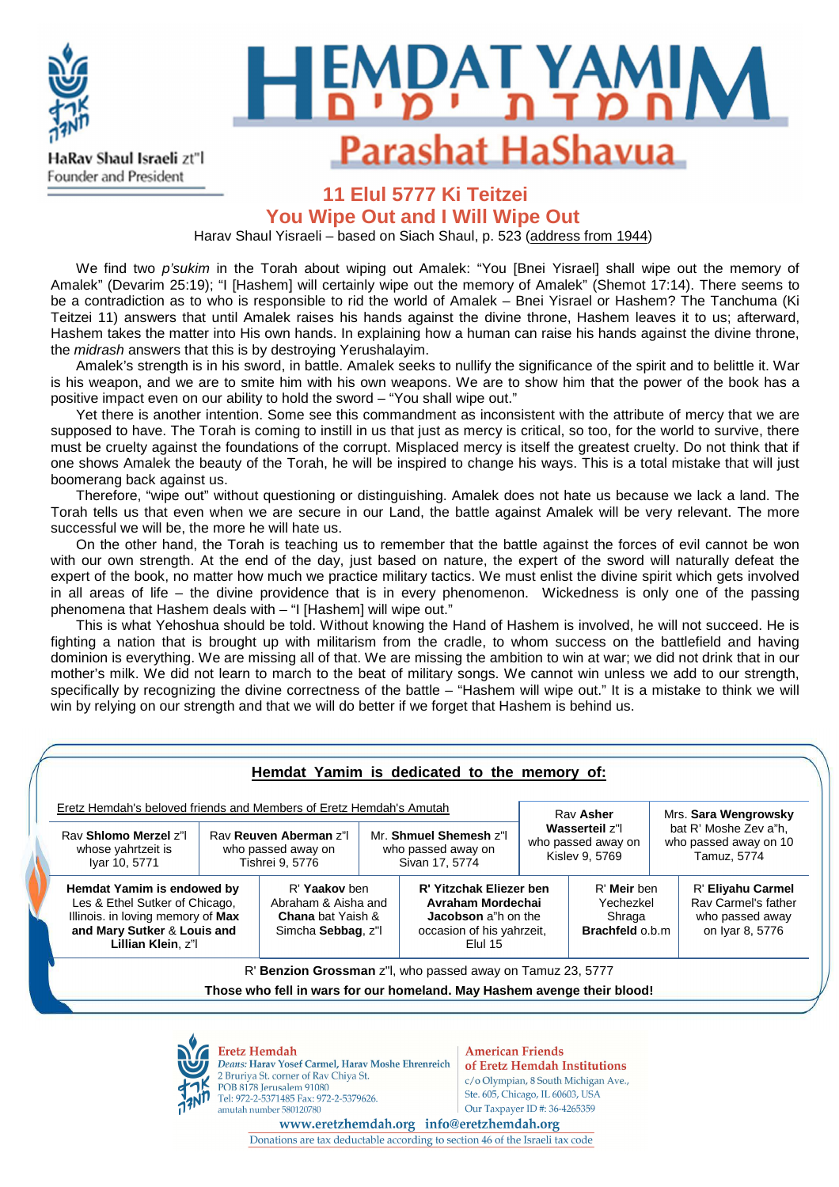

HaRav Shaul Israeli zt"l Founder and President

## **Ki Teitzei**  Parashat HaShavua

### **11 Elul 5777 Ki Teitzei**

**You Wipe Out and I Will Wipe Out** 

Harav Shaul Yisraeli – based on Siach Shaul, p. 523 (address from 1944)

We find two *p'sukim* in the Torah about wiping out Amalek: "You [Bnei Yisrael] shall wipe out the memory of Amalek" (Devarim 25:19); "I [Hashem] will certainly wipe out the memory of Amalek" (Shemot 17:14). There seems to be a contradiction as to who is responsible to rid the world of Amalek – Bnei Yisrael or Hashem? The Tanchuma (Ki Teitzei 11) answers that until Amalek raises his hands against the divine throne, Hashem leaves it to us; afterward, Hashem takes the matter into His own hands. In explaining how a human can raise his hands against the divine throne, the midrash answers that this is by destroying Yerushalayim.

Amalek's strength is in his sword, in battle. Amalek seeks to nullify the significance of the spirit and to belittle it. War is his weapon, and we are to smite him with his own weapons. We are to show him that the power of the book has a positive impact even on our ability to hold the sword – "You shall wipe out."

Yet there is another intention. Some see this commandment as inconsistent with the attribute of mercy that we are supposed to have. The Torah is coming to instill in us that just as mercy is critical, so too, for the world to survive, there must be cruelty against the foundations of the corrupt. Misplaced mercy is itself the greatest cruelty. Do not think that if one shows Amalek the beauty of the Torah, he will be inspired to change his ways. This is a total mistake that will just boomerang back against us.

Therefore, "wipe out" without questioning or distinguishing. Amalek does not hate us because we lack a land. The Torah tells us that even when we are secure in our Land, the battle against Amalek will be very relevant. The more successful we will be, the more he will hate us.

On the other hand, the Torah is teaching us to remember that the battle against the forces of evil cannot be won with our own strength. At the end of the day, just based on nature, the expert of the sword will naturally defeat the expert of the book, no matter how much we practice military tactics. We must enlist the divine spirit which gets involved in all areas of life – the divine providence that is in every phenomenon. Wickedness is only one of the passing phenomena that Hashem deals with – "I [Hashem] will wipe out."

This is what Yehoshua should be told. Without knowing the Hand of Hashem is involved, he will not succeed. He is fighting a nation that is brought up with militarism from the cradle, to whom success on the battlefield and having dominion is everything. We are missing all of that. We are missing the ambition to win at war; we did not drink that in our mother's milk. We did not learn to march to the beat of military songs. We cannot win unless we add to our strength, specifically by recognizing the divine correctness of the battle – "Hashem will wipe out." It is a mistake to think we will win by relying on our strength and that we will do better if we forget that Hashem is behind us.

| Eretz Hemdah's beloved friends and Members of Eretz Hemdah's Amutah                                                                                    |  |                                                                                        |  |                                                                                                                    | Rav Asher                                              |                                                              | Mrs. Sara Wengrowsky                                          |                                                                                |
|--------------------------------------------------------------------------------------------------------------------------------------------------------|--|----------------------------------------------------------------------------------------|--|--------------------------------------------------------------------------------------------------------------------|--------------------------------------------------------|--------------------------------------------------------------|---------------------------------------------------------------|--------------------------------------------------------------------------------|
| Rav Shlomo Merzel z"I<br>whose yahrtzeit is<br>Iyar 10, 5771                                                                                           |  | Rav Reuven Aberman z"I<br>who passed away on<br>Tishrei 9, 5776                        |  | Mr. Shmuel Shemesh z"I<br>who passed away on<br>Sivan 17, 5774                                                     | Wasserteil z"l<br>who passed away on<br>Kislev 9, 5769 |                                                              | bat R' Moshe Zev a"h.<br>who passed away on 10<br>Tamuz, 5774 |                                                                                |
| Hemdat Yamim is endowed by<br>Les & Ethel Sutker of Chicago,<br>Illinois. in loving memory of Max<br>and Mary Sutker & Louis and<br>Lillian Klein, z"l |  | R' Yaakov ben<br>Abraham & Aisha and<br><b>Chana</b> bat Yaish &<br>Simcha Sebbag, z"l |  | R' Yitzchak Eliezer ben<br>Avraham Mordechai<br><b>Jacobson</b> a h on the<br>occasion of his yahrzeit,<br>Elul 15 |                                                        | R' Meir ben<br>Yechezkel<br>Shraga<br><b>Brachfeld o.b.m</b> |                                                               | R' Eliyahu Carmel<br>Ray Carmel's father<br>who passed away<br>on Iyar 8, 5776 |
|                                                                                                                                                        |  |                                                                                        |  | R' Benzion Grossman z''l, who passed away on Tamuz 23, 5777                                                        |                                                        |                                                              |                                                               |                                                                                |
|                                                                                                                                                        |  |                                                                                        |  | Those who fell in wars for our homeland. May Hashem avenge their blood!                                            |                                                        |                                                              |                                                               |                                                                                |



Deans: Harav Yosef Carmel, Harav Moshe Ehrenreich 2 Bruriya St. corner of Rav Chiya St. POB 8178 Jerusalem 91080 Tel: 972-2-5371485 Fax: 972-2-5379626. amutah number 580120780

of Eretz Hemdah Institutions c/o Olympian, 8 South Michigan Ave., Ste. 605, Chicago, IL 60603, USA Our Taxpayer ID #: 36-4265359

www.eretzhemdah.org info@eretzhemdah.org Donations are tax deductable according to section 46 of the Israeli tax code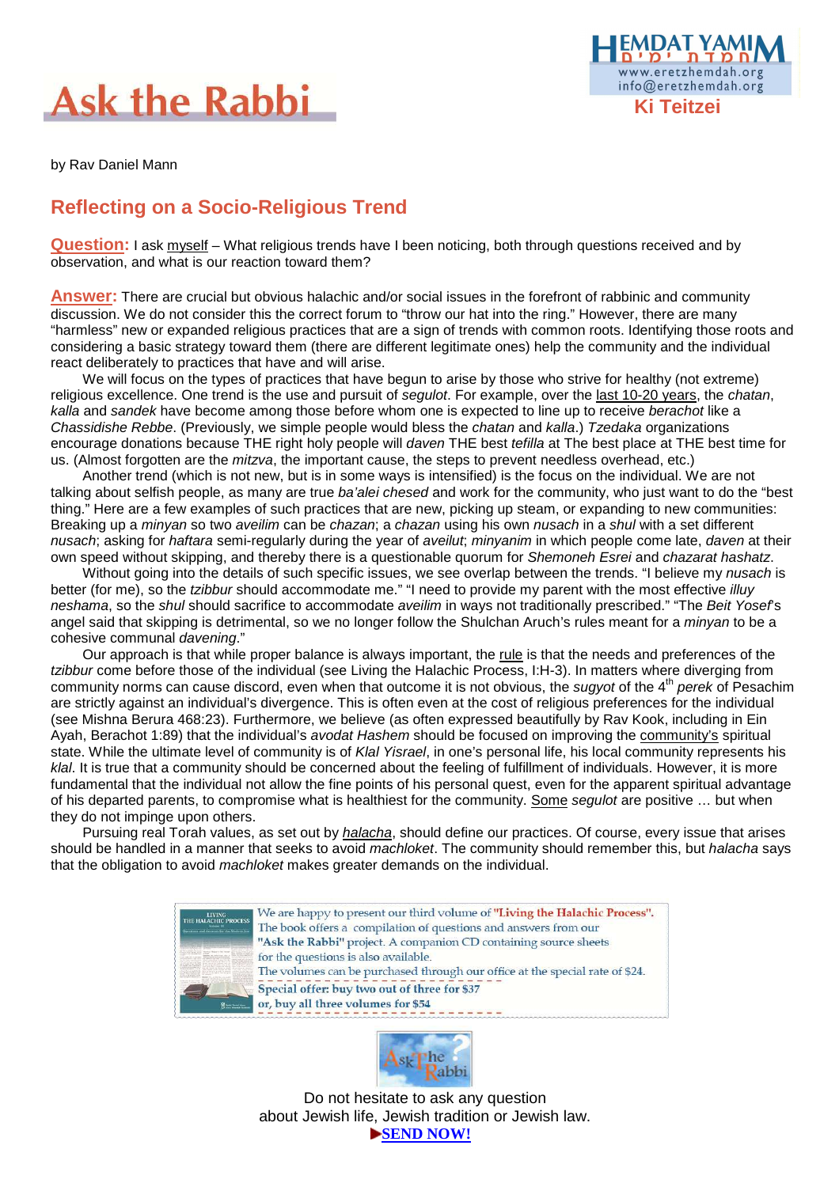# **Ask the Rabbi**



by Rav Daniel Mann

#### **Reflecting on a Socio-Religious Trend**

**Question:** I ask myself – What religious trends have I been noticing, both through questions received and by observation, and what is our reaction toward them?

**Answer:** There are crucial but obvious halachic and/or social issues in the forefront of rabbinic and community discussion. We do not consider this the correct forum to "throw our hat into the ring." However, there are many "harmless" new or expanded religious practices that are a sign of trends with common roots. Identifying those roots and considering a basic strategy toward them (there are different legitimate ones) help the community and the individual react deliberately to practices that have and will arise.

We will focus on the types of practices that have begun to arise by those who strive for healthy (not extreme) religious excellence. One trend is the use and pursuit of segulot. For example, over the last 10-20 years, the chatan, kalla and sandek have become among those before whom one is expected to line up to receive berachot like a Chassidishe Rebbe. (Previously, we simple people would bless the chatan and kalla.) Tzedaka organizations encourage donations because THE right holy people will daven THE best tefilla at The best place at THE best time for us. (Almost forgotten are the mitzva, the important cause, the steps to prevent needless overhead, etc.)

Another trend (which is not new, but is in some ways is intensified) is the focus on the individual. We are not talking about selfish people, as many are true ba'alei chesed and work for the community, who just want to do the "best thing." Here are a few examples of such practices that are new, picking up steam, or expanding to new communities: Breaking up a *minyan* so two aveilim can be chazan; a chazan using his own nusach in a shul with a set different nusach; asking for haftara semi-regularly during the year of aveilut; minyanim in which people come late, daven at their own speed without skipping, and thereby there is a questionable quorum for Shemoneh Esrei and chazarat hashatz.

Without going into the details of such specific issues, we see overlap between the trends. "I believe my nusach is better (for me), so the *tzibbur* should accommodate me." "I need to provide my parent with the most effective *illuv* neshama, so the shul should sacrifice to accommodate aveilim in ways not traditionally prescribed." "The Beit Yosef's angel said that skipping is detrimental, so we no longer follow the Shulchan Aruch's rules meant for a *minyan* to be a cohesive communal davening."

Our approach is that while proper balance is always important, the rule is that the needs and preferences of the tzibbur come before those of the individual (see Living the Halachic Process, I:H-3). In matters where diverging from community norms can cause discord, even when that outcome it is not obvious, the sugyot of the 4<sup>th</sup> perek of Pesachim are strictly against an individual's divergence. This is often even at the cost of religious preferences for the individual (see Mishna Berura 468:23). Furthermore, we believe (as often expressed beautifully by Rav Kook, including in Ein Ayah, Berachot 1:89) that the individual's avodat Hashem should be focused on improving the community's spiritual state. While the ultimate level of community is of Klal Yisrael, in one's personal life, his local community represents his klal. It is true that a community should be concerned about the feeling of fulfillment of individuals. However, it is more fundamental that the individual not allow the fine points of his personal quest, even for the apparent spiritual advantage of his departed parents, to compromise what is healthiest for the community. Some segulot are positive ... but when they do not impinge upon others.

Pursuing real Torah values, as set out by halacha, should define our practices. Of course, every issue that arises should be handled in a manner that seeks to avoid machloket. The community should remember this, but halacha says that the obligation to avoid machloket makes greater demands on the individual.





Do not hesitate to ask any question about Jewish life, Jewish tradition or Jewish law. **SEND NOW!**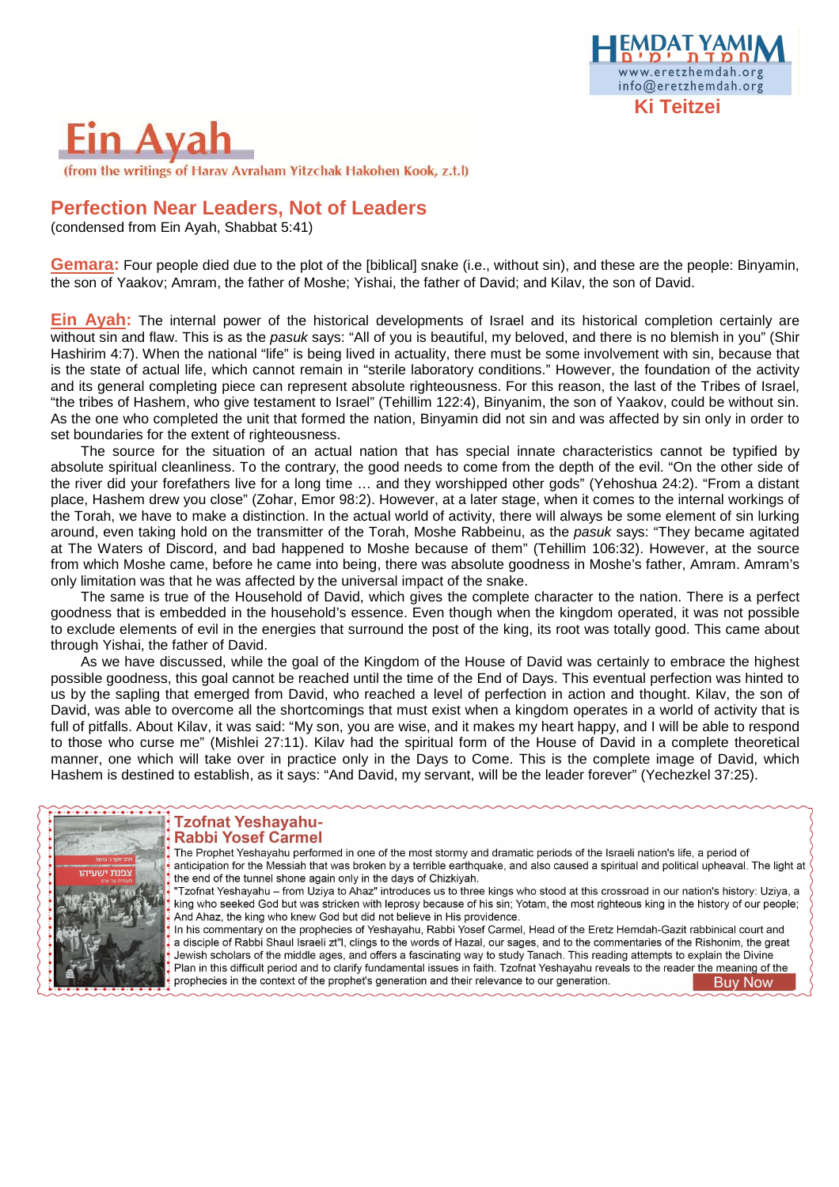

## in Ava

(from the writings of Harav Avraham Yitzchak Hakohen Kook, z.t.l)

#### **Perfection Near Leaders, Not of Leaders**

(condensed from Ein Ayah, Shabbat 5:41)

**Gemara:** Four people died due to the plot of the [biblical] snake (i.e., without sin), and these are the people: Binyamin, the son of Yaakov; Amram, the father of Moshe; Yishai, the father of David; and Kilav, the son of David.

**Ein Ayah:** The internal power of the historical developments of Israel and its historical completion certainly are without sin and flaw. This is as the pasuk says: "All of you is beautiful, my beloved, and there is no blemish in you" (Shir Hashirim 4:7). When the national "life" is being lived in actuality, there must be some involvement with sin, because that is the state of actual life, which cannot remain in "sterile laboratory conditions." However, the foundation of the activity and its general completing piece can represent absolute righteousness. For this reason, the last of the Tribes of Israel, "the tribes of Hashem, who give testament to Israel" (Tehillim 122:4), Binyanim, the son of Yaakov, could be without sin. As the one who completed the unit that formed the nation, Binyamin did not sin and was affected by sin only in order to set boundaries for the extent of righteousness.

The source for the situation of an actual nation that has special innate characteristics cannot be typified by absolute spiritual cleanliness. To the contrary, the good needs to come from the depth of the evil. "On the other side of the river did your forefathers live for a long time … and they worshipped other gods" (Yehoshua 24:2). "From a distant place, Hashem drew you close" (Zohar, Emor 98:2). However, at a later stage, when it comes to the internal workings of the Torah, we have to make a distinction. In the actual world of activity, there will always be some element of sin lurking around, even taking hold on the transmitter of the Torah, Moshe Rabbeinu, as the pasuk says: "They became agitated at The Waters of Discord, and bad happened to Moshe because of them" (Tehillim 106:32). However, at the source from which Moshe came, before he came into being, there was absolute goodness in Moshe's father, Amram. Amram's only limitation was that he was affected by the universal impact of the snake.

The same is true of the Household of David, which gives the complete character to the nation. There is a perfect goodness that is embedded in the household's essence. Even though when the kingdom operated, it was not possible to exclude elements of evil in the energies that surround the post of the king, its root was totally good. This came about through Yishai, the father of David.

As we have discussed, while the goal of the Kingdom of the House of David was certainly to embrace the highest possible goodness, this goal cannot be reached until the time of the End of Days. This eventual perfection was hinted to us by the sapling that emerged from David, who reached a level of perfection in action and thought. Kilav, the son of David, was able to overcome all the shortcomings that must exist when a kingdom operates in a world of activity that is full of pitfalls. About Kilav, it was said: "My son, you are wise, and it makes my heart happy, and I will be able to respond to those who curse me" (Mishlei 27:11). Kilav had the spiritual form of the House of David in a complete theoretical manner, one which will take over in practice only in the Days to Come. This is the complete image of David, which Hashem is destined to establish, as it says: "And David, my servant, will be the leader forever" (Yechezkel 37:25).



#### **Tzofnat Yeshayahu-Rabbi Yosef Carmel**

The Prophet Yeshayahu performed in one of the most stormy and dramatic periods of the Israeli nation's life, a period of anticipation for the Messiah that was broken by a terrible earthquake, and also caused a spiritual and political upheaval. The light at the end of the tunnel shone again only in the days of Chizkiyah.

"Tzofnat Yeshayahu – from Uziya to Ahaz" introduces us to three kings who stood at this crossroad in our nation's history: Uziya, a king who seeked God but was stricken with leprosy because of his sin; Yotam, the most righteous king in the history of our people; And Ahaz, the king who knew God but did not believe in His providence.

In his commentary on the prophecies of Yeshayahu, Rabbi Yosef Carmel, Head of the Eretz Hemdah-Gazit rabbinical court and a disciple of Rabbi Shaul Israeli zt"l, clings to the words of Hazal, our sages, and to the commentaries of the Rishonim, the great Jewish scholars of the middle ages, and offers a fascinating way to study Tanach. This reading attempts to explain the Divine Plan in this difficult period and to clarify fundamental issues in faith. Tzofnat Yeshayahu reveals to the reader the meaning of the prophecies in the context of the prophet's generation and their relevance to our generation. **Buy Now**